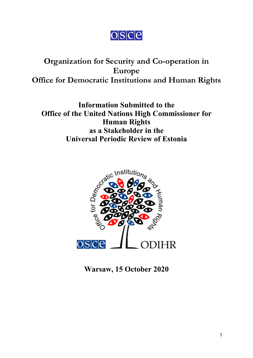

# **Organization for Security and Co-operation in Europe Office for Democratic Institutions and Human Rights**

**Information Submitted to the Office of the United Nations High Commissioner for Human Rights as <sup>a</sup> Stakeholder in the Universal Periodic Review of Estonia**



**Warsaw, 15 October 2020**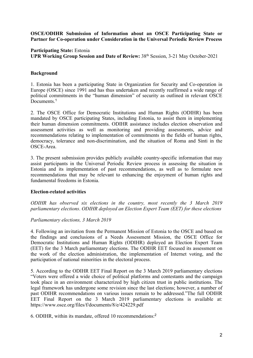## **OSCE/ODIHR Submission of Information about an OSCE Participating State or Partner for Co-operation under Consideration in the Universal Periodic Review Process**

## **Participating State:** Estonia

**UPR Working Group Session and Date of Review:** 38th Session, 3-21 May October-2021

## **Background**

1. Estonia has been <sup>a</sup> participating State in Organization for Security and Co-operation in Europe (OSCE) since 1991 and has thus undertaken and recently reaffirmed <sup>a</sup> wide range of political commitments in the "human dimension" of security as outlined in relevant OSCE Documents. 1

2. The OSCE Office for Democratic Institutions and Human Rights (ODIHR) has been mandated by OSCE participating States, including Estonia, to assist them in implementing their human dimension commitments. ODIHR assistance includes election observation and assessment activities as well as monitoring and providing assessments, advice and recommendations relating to implementation of commitments in the fields of human rights, democracy, tolerance and non-discrimination, and the situation of Roma and Sinti in the OSCE-Area.

3. The presen<sup>t</sup> submission provides publicly available country-specific information that may assist participants in the Universal Periodic Review process in assessing the situation in Estonia and its implementation of pas<sup>t</sup> recommendations, as well as to formulate new recommendations that may be relevant to enhancing the enjoyment of human rights and fundamental freedoms in Estonia.

#### **Election-related activities**

*ODIHR has observed six elections in the country, most recently the 3 March 2019 parliamentary elections*. *ODIHR deployed an Election Expert Team (EET) for these elections*

## *Parliamentary elections, 3 March 2019*

4. Following an invitation from the Permanent Mission of Estonia to the OSCE and based on the findings and conclusions of <sup>a</sup> Needs Assessment Mission, the OSCE Office for Democratic Institutions and Human Rights (ODIHR) deployed an Election Expert Team (EET) for the 3 March parliamentary elections. The ODIHR EET focused its assessment on the work of the election administration, the implementation of Internet voting, and the participation of national minorities in the electoral process.

5. According to the ODIHR EET Final Report on the 3 March 2019 parliamentary elections "Voters were offered <sup>a</sup> wide choice of political platforms and contestants and the campaign took place in an environment characterized by high citizen trust in public institutions. The legal framework has undergone some revision since the last elections; however, <sup>a</sup> number of pas<sup>t</sup> ODIHR recommendations on various issues remain to be addressed."The full ODIHR EET Final Report on the 3 March 2019 parliamentary elections is available at: <https://www.osce.org/files/f/documents/8/e/424229.pdf>

6. ODIHR, within its mandate, offered 10 recommendations: 2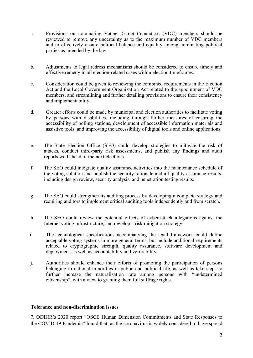- a. Provisions on nominating Voting District Committees (VDC) members should be reviewed to remove any uncertainty as to the maximum number of VDC members and to effectively ensure political balance and equality among nominating political parties as intended by the law.
- b. Adjustments to legal redress mechanisms should be considered to ensure timely and effective remedy in all election-related cases within election timeframes.
- c. Consideration could be given to reviewing the combined requirements in the Election Act and the Local Government Organization Act related to the appointment of VDC members, and streamlining and further detailing provisions to ensure their consistency and implementability.
- d. Greater efforts could be made by municipal and election authorities to facilitate voting by persons with disabilities, including through further measures of ensuring the accessibility of polling stations, development of accessible information materials and assistive tools, and improving the accessibility of digital tools and online applications.
- e. The State Election Office (SEO) could develop strategies to mitigate the risk of attacks, conduct third-party risk assessments, and publish any findings and audit reports well ahead of the next elections.
- f. The SEO could integrate quality assurance activities into the maintenance schedule of the voting solution and publish the security rationale and all quality assurance results, including design review, security analysis, and penetration testing results.
- g. The SEO could strengthen its auditing process by developing <sup>a</sup> complete strategy and requiring auditors to implement critical auditing tools independently and from scratch.
- h. The SEO could review the potential effects of cyber-attack allegations against the Internet voting infrastructure, and develop <sup>a</sup> risk mitigation strategy.
- i. The technological specifications accompanying the legal framework could define acceptable voting systems in more general terms, but include additional requirements related to cryptographic strength, quality assurance, software development and deployment, as well as accountability and verifiability.
- j. Authorities should enhance their efforts of promoting the participation of persons belonging to national minorities in public and political life, as well as take steps to further increase the naturalization rate among persons with "undetermined citizenship", with <sup>a</sup> view to granting them full suffrage rights.

#### **Tolerance and non-discrimination issues**

7. ODIHR'<sup>s</sup> 2020 repor<sup>t</sup> "OSCE Human Dimension [Commitments](https://www.osce.org/odihr/human-rights-states-of-emergency-covid19) and State Responses to the [COVID-19](https://www.osce.org/odihr/human-rights-states-of-emergency-covid19) Pandemic" found that, as the coronavirus is widely considered to have spread